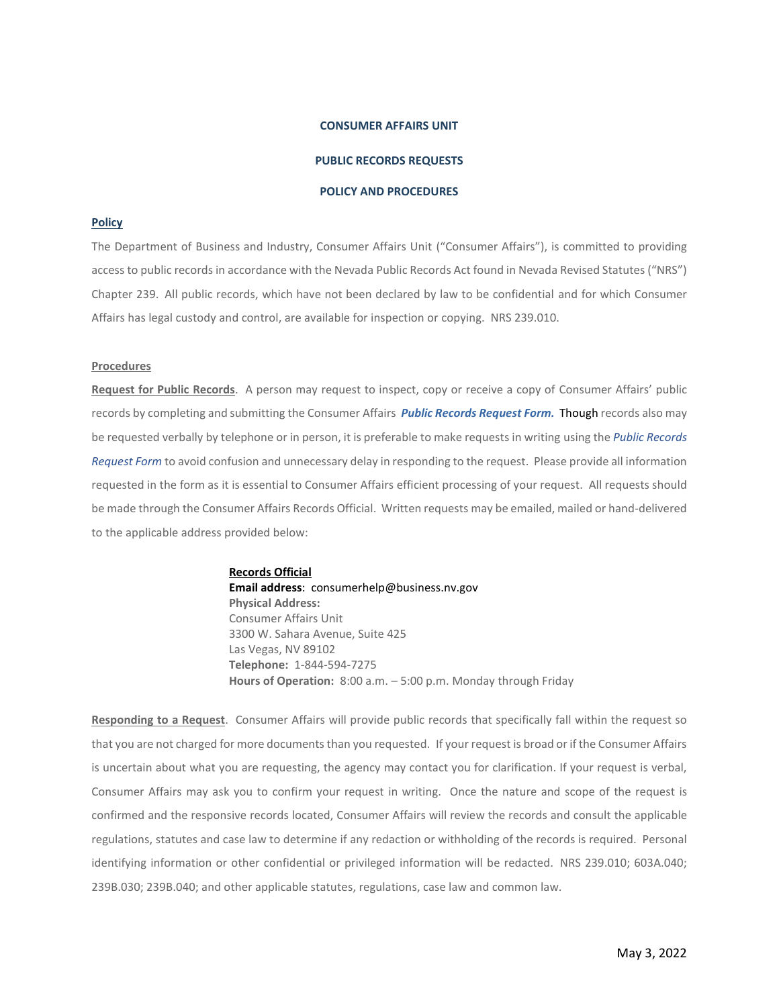## **CONSUMER AFFAIRS UNIT**

## **PUBLIC RECORDS REQUESTS**

#### **POLICY AND PROCEDURES**

# **Policy**

The Department of Business and Industry, Consumer Affairs Unit ("Consumer Affairs"), is committed to providing access to public records in accordance with the Nevada Public Records Act found in Nevada Revised Statutes ("NRS") Chapter 239. All public records, which have not been declared by law to be confidential and for which Consumer Affairs has legal custody and control, are available for inspection or copying. NRS 239.010.

### **Procedures**

**Request for Public Records**. A person may request to inspect, copy or receive a copy of Consumer Affairs' public records by completing and submitting the Consumer Affairs *Public Records Request Form.* Though records also may be requested verbally by telephone or in person, it is preferable to make requests in writing using the *Public Records Request Form* to avoid confusion and unnecessary delay in responding to the request. Please provide all information requested in the form as it is essential to Consumer Affairs efficient processing of your request. All requests should be made through the Consumer Affairs Records Official. Written requests may be emailed, mailed or hand-delivered to the applicable address provided below:

> **Records Official Email address**: consumerhelp@business.nv.gov **Physical Address:** Consumer Affairs Unit 3300 W. Sahara Avenue, Suite 425 Las Vegas, NV 89102 **Telephone:** 1-844-594-7275 **Hours of Operation:** 8:00 a.m. – 5:00 p.m. Monday through Friday

**Responding to a Request**. Consumer Affairs will provide public records that specifically fall within the request so that you are not charged for more documents than you requested. If your request is broad or if the Consumer Affairs is uncertain about what you are requesting, the agency may contact you for clarification. If your request is verbal, Consumer Affairs may ask you to confirm your request in writing. Once the nature and scope of the request is confirmed and the responsive records located, Consumer Affairs will review the records and consult the applicable regulations, statutes and case law to determine if any redaction or withholding of the records is required. Personal identifying information or other confidential or privileged information will be redacted. NRS 239.010; 603A.040; 239B.030; 239B.040; and other applicable statutes, regulations, case law and common law.